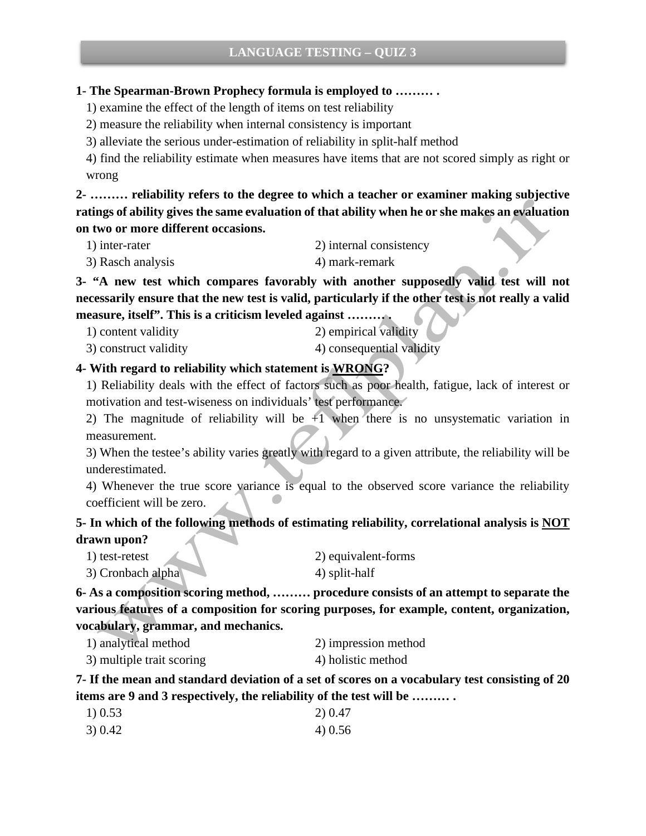#### **1- The Spearman-Brown Prophecy formula is employed to ……… .**

1) examine the effect of the length of items on test reliability

2) measure the reliability when internal consistency is important

3) alleviate the serious under-estimation of reliability in split-half method

4) find the reliability estimate when measures have items that are not scored simply as right or wrong

**2- ……… reliability refers to the degree to which a teacher or examiner making subjective ratings of ability gives the same evaluation of that ability when he or she makes an evaluation on two or more different occasions.**

- 1) inter-rater 2) internal consistency
	-
- 3) Rasch analysis 4) mark-remark

**3- "A new test which compares favorably with another supposedly valid test will not necessarily ensure that the new test is valid, particularly if the other test is not really a valid measure, itself". This is a criticism leveled against ……… .**

- 1) content validity 2) empirical validity
- 3) construct validity 4) consequential validity

### **4- With regard to reliability which statement is WRONG?**

1) Reliability deals with the effect of factors such as poor health, fatigue, lack of interest or motivation and test-wiseness on individuals' test performance.

2) The magnitude of reliability will be  $+1$  when there is no unsystematic variation in measurement.

3) When the testee's ability varies greatly with regard to a given attribute, the reliability will be underestimated.

4) Whenever the true score variance is equal to the observed score variance the reliability coefficient will be zero.

# **5- In which of the following methods of estimating reliability, correlational analysis is NOT drawn upon?**

| 1) test-retest    | 2) equivalent-forms |
|-------------------|---------------------|
| 3) Cronbach alpha | 4) split-half       |

**6- As a composition scoring method, ……… procedure consists of an attempt to separate the various features of a composition for scoring purposes, for example, content, organization, vocabulary, grammar, and mechanics.** 

- 1) analytical method 2) impression method
- 3) multiple trait scoring 4) holistic method

**7- If the mean and standard deviation of a set of scores on a vocabulary test consisting of 20 items are 9 and 3 respectively, the reliability of the test will be ……… .**

| 1) 0.53 | 2) 0.47 |
|---------|---------|
| 3) 0.42 | 4)0.56  |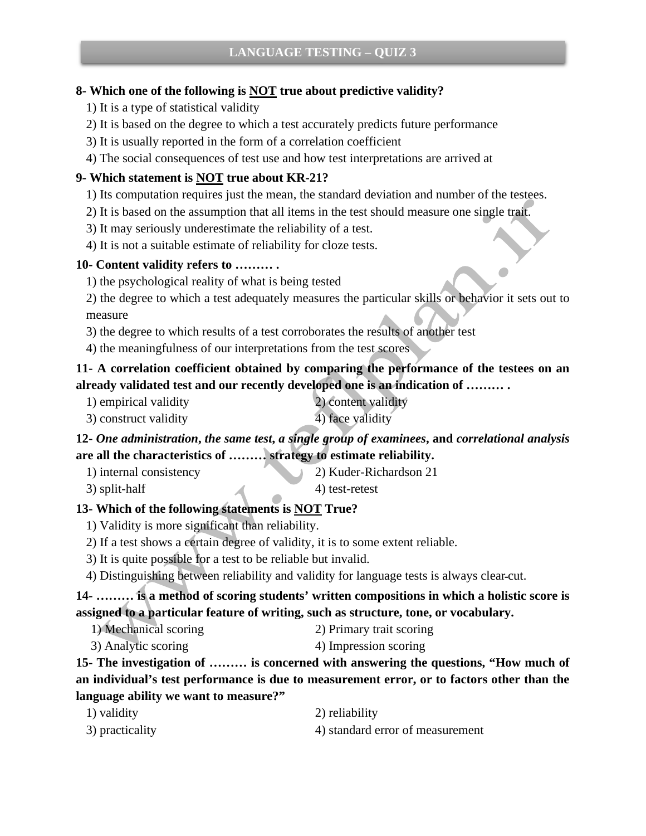## **8- Which one of the following is NOT true about predictive validity?**

- 1) It is a type of statistical validity
- 2) It is based on the degree to which a test accurately predicts future performance
- 3) It is usually reported in the form of a correlation coefficient
- 4) The social consequences of test use and how test interpretations are arrived at

# **9- Which statement is NOT true about KR-21?**

- 1) Its computation requires just the mean, the standard deviation and number of the testees.
- 2) It is based on the assumption that all items in the test should measure one single trait.
- 3) It may seriously underestimate the reliability of a test.
- 4) It is not a suitable estimate of reliability for cloze tests.

## **10- Content validity refers to ……… .**

1) the psychological reality of what is being tested

2) the degree to which a test adequately measures the particular skills or behavior it sets out to measure

- 3) the degree to which results of a test corroborates the results of another test
- 4) the meaningfulness of our interpretations from the test scores

# **11- A correlation coefficient obtained by comparing the performance of the testees on an already validated test and our recently developed one is an indication of ……… .**

- 1) empirical validity 2) content validity
- 3) construct validity 4) face validity

# **12-** *One administration***,** *the same test***,** *a single group of examinees***, and** *correlational analysis*  **are all the characteristics of ……… strategy to estimate reliability.**

- 1) internal consistency 2) Kuder-Richardson 21
- 
- $3)$  split-half  $4)$  test-retest

# **13- Which of the following statements is NOT True?**

- 1) Validity is more significant than reliability.
- 2) If a test shows a certain degree of validity, it is to some extent reliable.
- 3) It is quite possible for a test to be reliable but invalid.
- 4) Distinguishing between reliability and validity for language tests is always clearـcut.

**14- ……… is a method of scoring students' written compositions in which a holistic score is assigned to a particular feature of writing, such as structure, tone, or vocabulary.**

- 1) Mechanical scoring 2) Primary trait scoring
- 3) Analytic scoring 4) Impression scoring

**15- The investigation of ……… is concerned with answering the questions, "How much of an individual's test performance is due to measurement error, or to factors other than the language ability we want to measure?"**

| 1) validity     | 2) reliability                   |
|-----------------|----------------------------------|
| 3) practicality | 4) standard error of measurement |